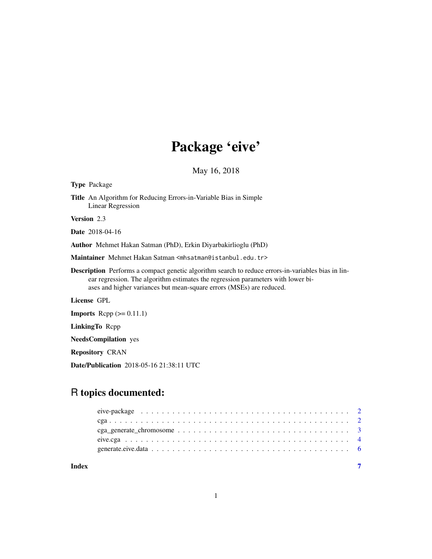## Package 'eive'

May 16, 2018

Type Package

Title An Algorithm for Reducing Errors-in-Variable Bias in Simple Linear Regression

Version 2.3

Date 2018-04-16

Author Mehmet Hakan Satman (PhD), Erkin Diyarbakirlioglu (PhD)

Maintainer Mehmet Hakan Satman <mhsatman@istanbul.edu.tr>

Description Performs a compact genetic algorithm search to reduce errors-in-variables bias in linear regression. The algorithm estimates the regression parameters with lower biases and higher variances but mean-square errors (MSEs) are reduced.

License GPL

**Imports** Rcpp  $(>= 0.11.1)$ 

LinkingTo Rcpp

NeedsCompilation yes

Repository CRAN

Date/Publication 2018-05-16 21:38:11 UTC

### R topics documented:

| Index |                                                                                                                 |  |
|-------|-----------------------------------------------------------------------------------------------------------------|--|
|       |                                                                                                                 |  |
|       |                                                                                                                 |  |
|       | $cga\_generate\_chromosome \dots \dots \dots \dots \dots \dots \dots \dots \dots \dots \dots \dots \dots \dots$ |  |
|       |                                                                                                                 |  |
|       |                                                                                                                 |  |

1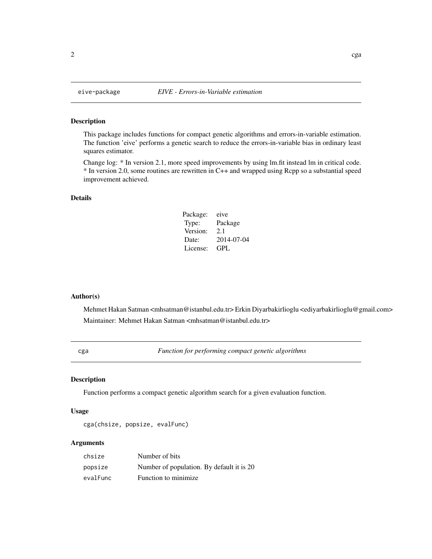#### <span id="page-1-0"></span>Description

This package includes functions for compact genetic algorithms and errors-in-variable estimation. The function 'eive' performs a genetic search to reduce the errors-in-variable bias in ordinary least squares estimator.

Change log: \* In version 2.1, more speed improvements by using lm.fit instead lm in critical code. \* In version 2.0, some routines are rewritten in C++ and wrapped using Rcpp so a substantial speed improvement achieved.

#### Details

| Package: | eive       |
|----------|------------|
| Type:    | Package    |
| Version: | 2.1        |
| Date:    | 2014-07-04 |
| License: | GPL.       |

#### Author(s)

Mehmet Hakan Satman <mhsatman@istanbul.edu.tr> Erkin Diyarbakirlioglu <ediyarbakirlioglu@gmail.com> Maintainer: Mehmet Hakan Satman <mhsatman@istanbul.edu.tr>

cga *Function for performing compact genetic algorithms*

#### Description

Function performs a compact genetic algorithm search for a given evaluation function.

#### Usage

```
cga(chsize, popsize, evalFunc)
```
#### Arguments

| chsize   | Number of bits                            |
|----------|-------------------------------------------|
| popsize  | Number of population. By default it is 20 |
| evalFunc | Function to minimize.                     |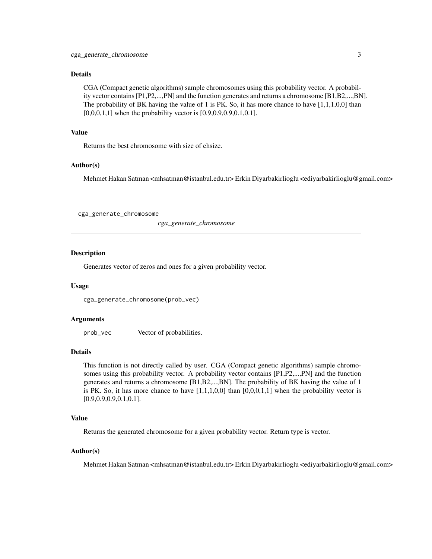#### <span id="page-2-0"></span>Details

CGA (Compact genetic algorithms) sample chromosomes using this probability vector. A probability vector contains [P1,P2,...,PN] and the function generates and returns a chromosome [B1,B2,...,BN]. The probability of BK having the value of 1 is PK. So, it has more chance to have [1,1,1,0,0] than [0,0,0,1,1] when the probability vector is [0.9,0.9,0.9,0.1,0.1].

#### Value

Returns the best chromosome with size of chsize.

#### Author(s)

Mehmet Hakan Satman <mhsatman@istanbul.edu.tr> Erkin Diyarbakirlioglu <ediyarbakirlioglu@gmail.com>

cga\_generate\_chromosome

*cga\_generate\_chromosome*

#### **Description**

Generates vector of zeros and ones for a given probability vector.

#### Usage

```
cga_generate_chromosome(prob_vec)
```
#### Arguments

prob\_vec Vector of probabilities.

#### Details

This function is not directly called by user. CGA (Compact genetic algorithms) sample chromosomes using this probability vector. A probability vector contains [P1,P2,...,PN] and the function generates and returns a chromosome [B1,B2,...,BN]. The probability of BK having the value of 1 is PK. So, it has more chance to have  $[1,1,1,0,0]$  than  $[0,0,0,1,1]$  when the probability vector is [0.9,0.9,0.9,0.1,0.1].

#### Value

Returns the generated chromosome for a given probability vector. Return type is vector.

#### Author(s)

Mehmet Hakan Satman <mhsatman@istanbul.edu.tr> Erkin Diyarbakirlioglu <ediyarbakirlioglu@gmail.com>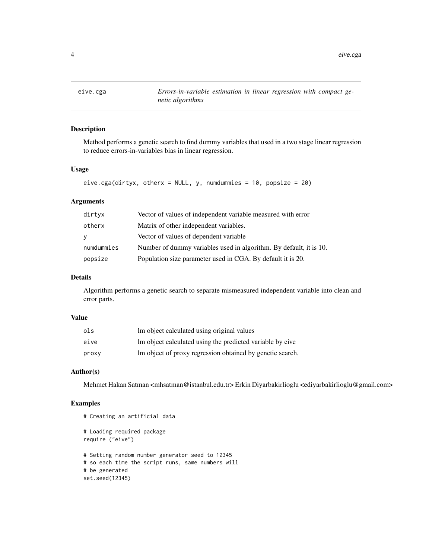<span id="page-3-0"></span>

#### Description

Method performs a genetic search to find dummy variables that used in a two stage linear regression to reduce errors-in-variables bias in linear regression.

#### Usage

```
eive.cga(dirtyx, otherx = NULL, y, numdummies = 10, popsize = 20)
```
#### Arguments

| dirtyx     | Vector of values of independent variable measured with error       |
|------------|--------------------------------------------------------------------|
| otherx     | Matrix of other independent variables.                             |
| y          | Vector of values of dependent variable                             |
| numdummies | Number of dummy variables used in algorithm. By default, it is 10. |
| popsize    | Population size parameter used in CGA. By default it is 20.        |

#### Details

Algorithm performs a genetic search to separate mismeasured independent variable into clean and error parts.

#### Value

| ols   | Im object calculated using original values                |
|-------|-----------------------------------------------------------|
| eive  | Im object calculated using the predicted variable by eive |
| proxy | Im object of proxy regression obtained by genetic search. |

#### Author(s)

Mehmet Hakan Satman <mhsatman@istanbul.edu.tr> Erkin Diyarbakirlioglu <ediyarbakirlioglu@gmail.com>

#### Examples

```
# Creating an artificial data
# Loading required package
require ("eive")
# Setting random number generator seed to 12345
# so each time the script runs, same numbers will
# be generated
set.seed(12345)
```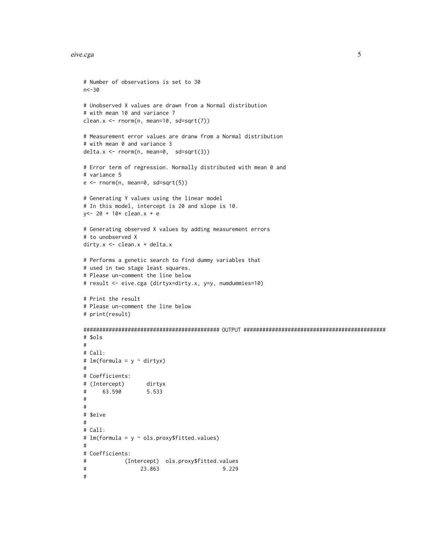```
# Number of observations is set to 30
n<-30
# Unobserved X values are drawn from a Normal distribution
# with mean 10 and variance 7
clean.x <- rnorm(n, mean=10, sd=sqrt(7))
# Measurement error values are dranw from a Normal distribution
# with mean 0 and variance 3
delta.x <- rnorm(n, mean=0, sd=sqrt(3))
# Error term of regression. Normally distributed with mean 0 and
# variance 5
e \le - rnorm(n, \text{ mean=0}, \text{ sd=sqrt}(5))# Generating Y values using the linear model
# In this model, intercept is 20 and slope is 10.
y<- 20 + 10* clean.x + e
# Generating observed X values by adding measurement errors
# to unobserved X
dirty.x <- clean.x + delta.x
# Performs a genetic search to find dummy variables that
# used in two stage least squares.
# Please un-comment the line below
# result <- eive.cga (dirtyx=dirty.x, y=y, numdummies=10)
# Print the result
# Please un-comment the line below
# print(result)
########################################### OUTPUT #############################################
# $ols
#
# Call:
# lm(formula = y \sim dirtyx)#
# Coefficients:
# (Intercept) dirtyx
# 63.590 5.533
#
#
# $eive
#
# Call:
# lm(formula = y ~ ols.proxy$fitted.values)
#
# Coefficients:
# (Intercept) ols.proxy$fitted.values
# 23.863 9.229
#
```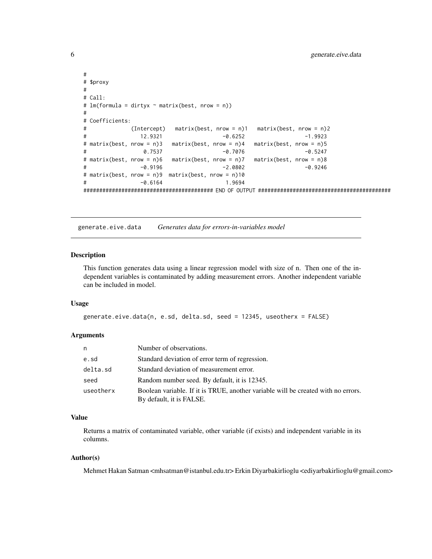```
#
# $proxy
#
# Call:
# lm(formula = dirtyx ~ matrix(best, nrow = n))
#
# Coefficients:
# (Intercept) matrix(best, nrow = n)1 matrix(best, nrow = n)2
# 12.9321 -0.6252 -1.9923
# matrix(best, nrow = n)3 matrix(best, nrow = n)4 matrix(best, nrow = n)5
# 0.7537 -0.7076 -0.5247
# matrix(best, nrow = n)6 matrix(best, nrow = n)7 matrix(best, nrow = n)8
# -0.9196 -2.0802 -0.9246
# matrix(best, nrow = n)9 matrix(best, nrow = n)10
# -0.6164 1.9694
######################################### END OF OUTPUT ##########################################
```
generate.eive.data *Generates data for errors-in-variables model*

#### Description

This function generates data using a linear regression model with size of n. Then one of the independent variables is contaminated by adding measurement errors. Another independent variable can be included in model.

#### Usage

```
generate.eive.data(n, e.sd, delta.sd, seed = 12345, useotherx = FALSE)
```
#### Arguments

| n         | Number of observations.                                                                                       |
|-----------|---------------------------------------------------------------------------------------------------------------|
| e.sd      | Standard deviation of error term of regression.                                                               |
| delta.sd  | Standard deviation of measurement error.                                                                      |
| seed      | Random number seed. By default, it is 12345.                                                                  |
| useotherx | Boolean variable. If it is TRUE, another variable will be created with no errors.<br>By default, it is FALSE. |

#### Value

Returns a matrix of contaminated variable, other variable (if exists) and independent variable in its columns.

#### Author(s)

Mehmet Hakan Satman <mhsatman@istanbul.edu.tr> Erkin Diyarbakirlioglu <ediyarbakirlioglu@gmail.com>

<span id="page-5-0"></span>